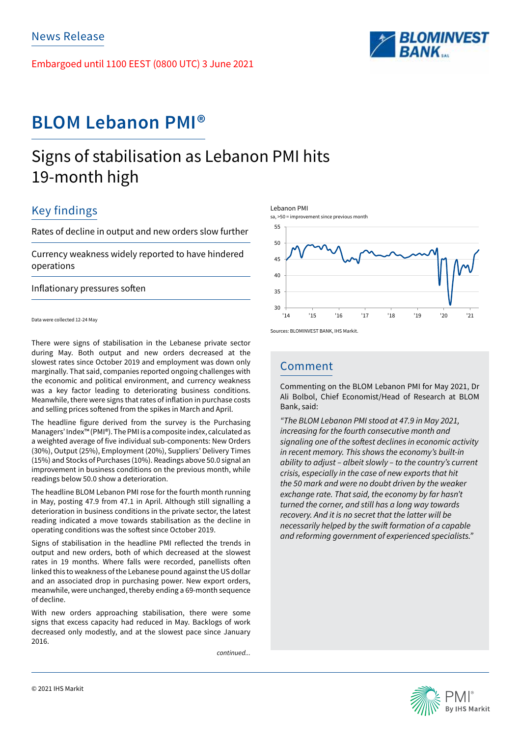Embargoed until 1100 EEST (0800 UTC) 3 June 2021



# **BLOM Lebanon PMI®**

# Signs of stabilisation as Lebanon PMI hits 19-month high

## Key findings

Rates of decline in output and new orders slow further

Currency weakness widely reported to have hindered operations

Inflationary pressures soften

Data were collected 12-24 May

There were signs of stabilisation in the Lebanese private sector during May. Both output and new orders decreased at the slowest rates since October 2019 and employment was down only marginally. That said, companies reported ongoing challenges with the economic and political environment, and currency weakness was a key factor leading to deteriorating business conditions. Meanwhile, there were signs that rates of inflation in purchase costs and selling prices softened from the spikes in March and April.

The headline figure derived from the survey is the Purchasing Managers' Index™ (PMI®). The PMI is a composite index, calculated as a weighted average of five individual sub-components: New Orders (30%), Output (25%), Employment (20%), Suppliers' Delivery Times (15%) and Stocks of Purchases (10%). Readings above 50.0 signal an improvement in business conditions on the previous month, while readings below 50.0 show a deterioration.

The headline BLOM Lebanon PMI rose for the fourth month running in May, posting 47.9 from 47.1 in April. Although still signalling a deterioration in business conditions in the private sector, the latest reading indicated a move towards stabilisation as the decline in operating conditions was the softest since October 2019.

Signs of stabilisation in the headline PMI reflected the trends in output and new orders, both of which decreased at the slowest rates in 19 months. Where falls were recorded, panellists often linked this to weakness of the Lebanese pound against the US dollar and an associated drop in purchasing power. New export orders, meanwhile, were unchanged, thereby ending a 69-month sequence of decline.

With new orders approaching stabilisation, there were some signs that excess capacity had reduced in May. Backlogs of work decreased only modestly, and at the slowest pace since January 2016.

*continued...*



## Comment

Commenting on the BLOM Lebanon PMI for May 2021, Dr Ali Bolbol, Chief Economist/Head of Research at BLOM Bank, said:

*"The BLOM Lebanon PMI stood at 47.9 in May 2021, increasing for the fourth consecutive month and*  signaling one of the softest declines in economic activity *in recent memory. This shows the economy's built-in ability to adjust – albeit slowly – to the country's current crisis, especially in the case of new exports that hit the 50 mark and were no doubt driven by the weaker exchange rate. That said, the economy by far hasn't turned the corner, and still has a long way towards recovery. And it is no secret that the latter will be*  necessarily helped by the swift formation of a capable *and reforming government of experienced specialists."*